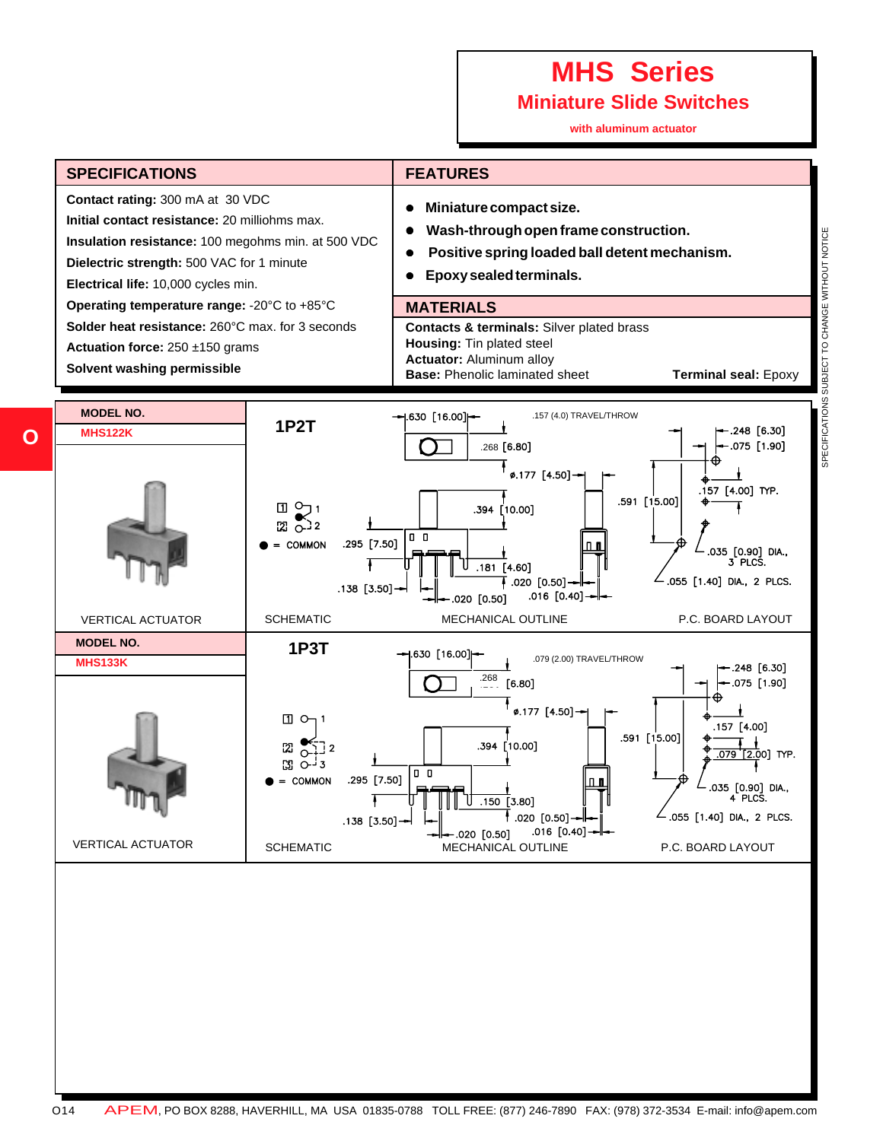# **MHS Series**

**Miniature Slide Switches**

**with aluminum actuator**



**O**

SPECIFICATIONS SUBJECT TO CHANGE WITHOUT NOTICE SPECIFICATIONS SUBJECT TO CHANGE WITHOUT NOTICE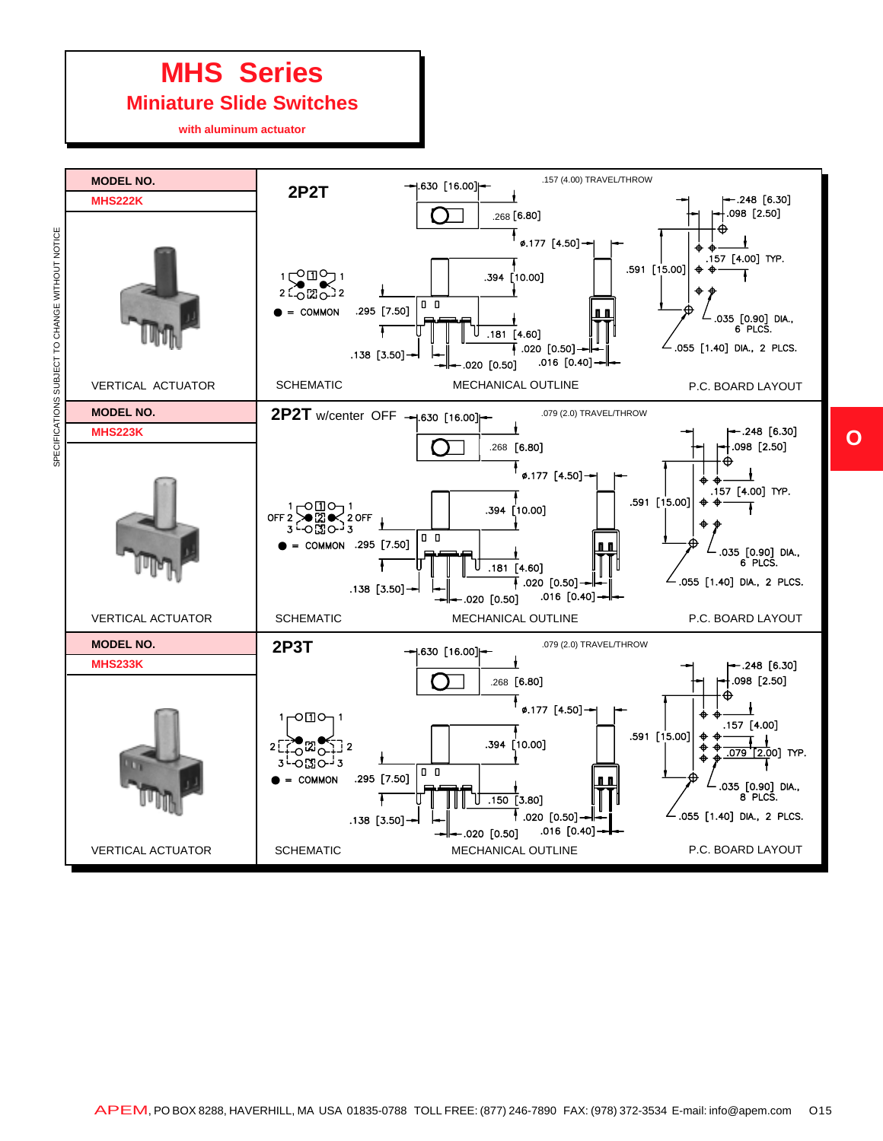# **MHS Series**

#### **Miniature Slide Switches**

**with aluminum actuator**

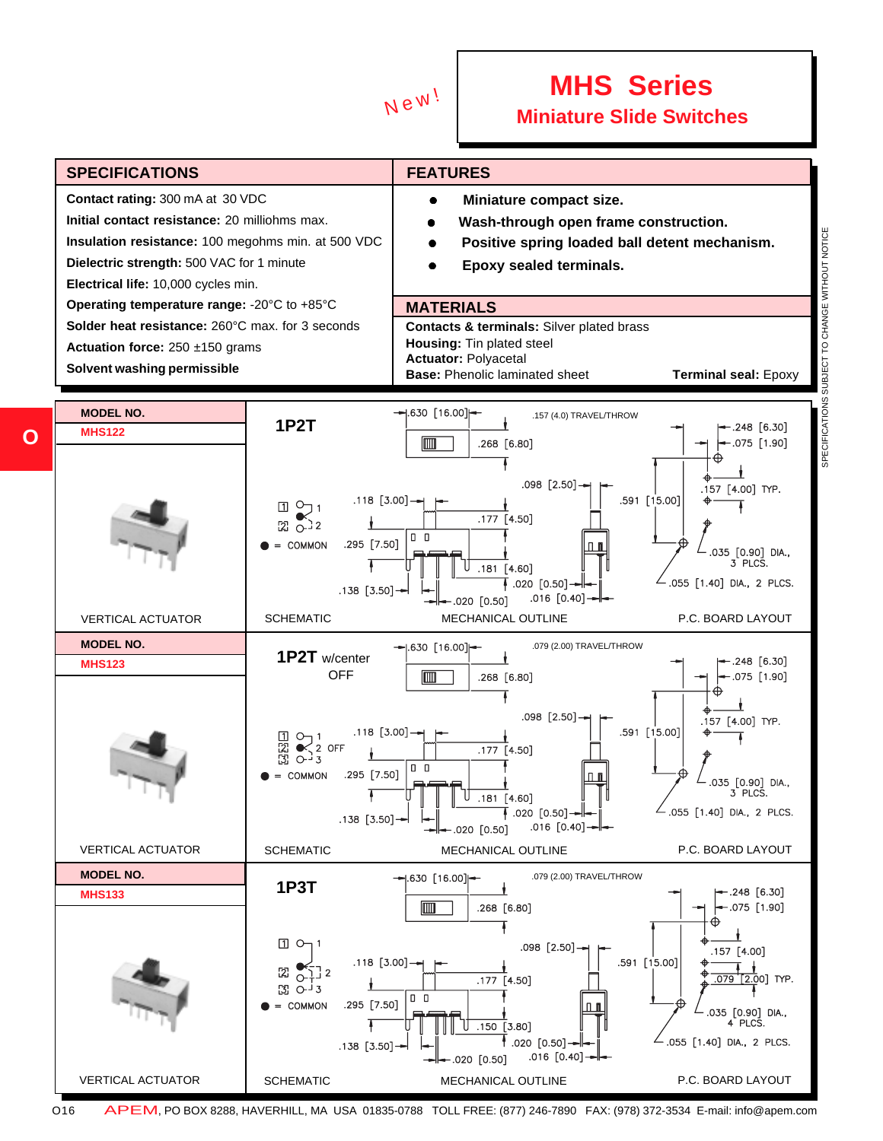

### **MHS Series Me<sup>w!</sup>** Miniature Slide Switches



SPECIFICATIONS SUBJECT TO CHANGE WITHOUT NOTICE SPECIFICATIONS SUBJECT TO CHANGE WITHOUT NOTICE

**O**

O16 APEM, PO BOX 8288, HAVERHILL, MA USA 01835-0788 TOLL FREE: (877) 246-7890 FAX: (978) 372-3534 E-mail: info@apem.com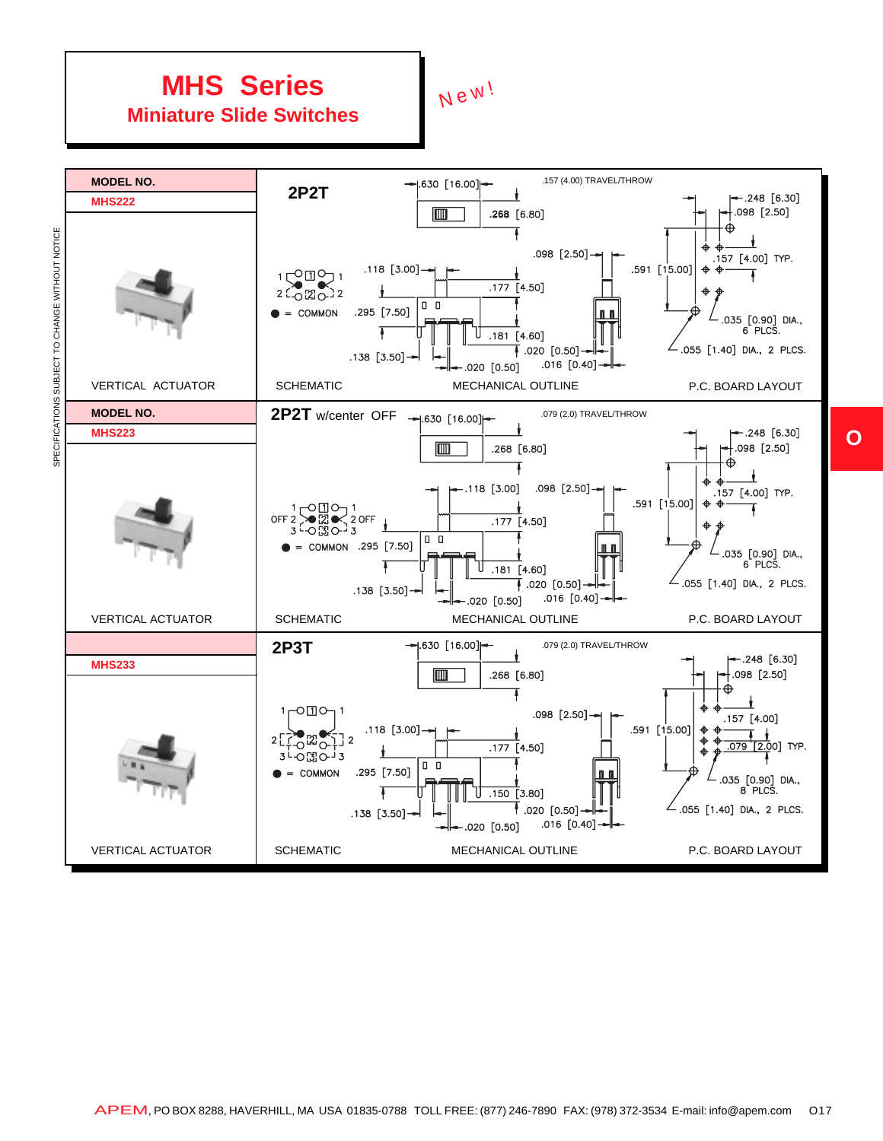### **MHS Series Miniature Slide Switches**

New!



APEM, PO BOX 8288, HAVERHILL, MA USA 01835-0788 TOLL FREE: (877) 246-7890 FAX: (978) 372-3534 E-mail: info@apem.com O17

**O**